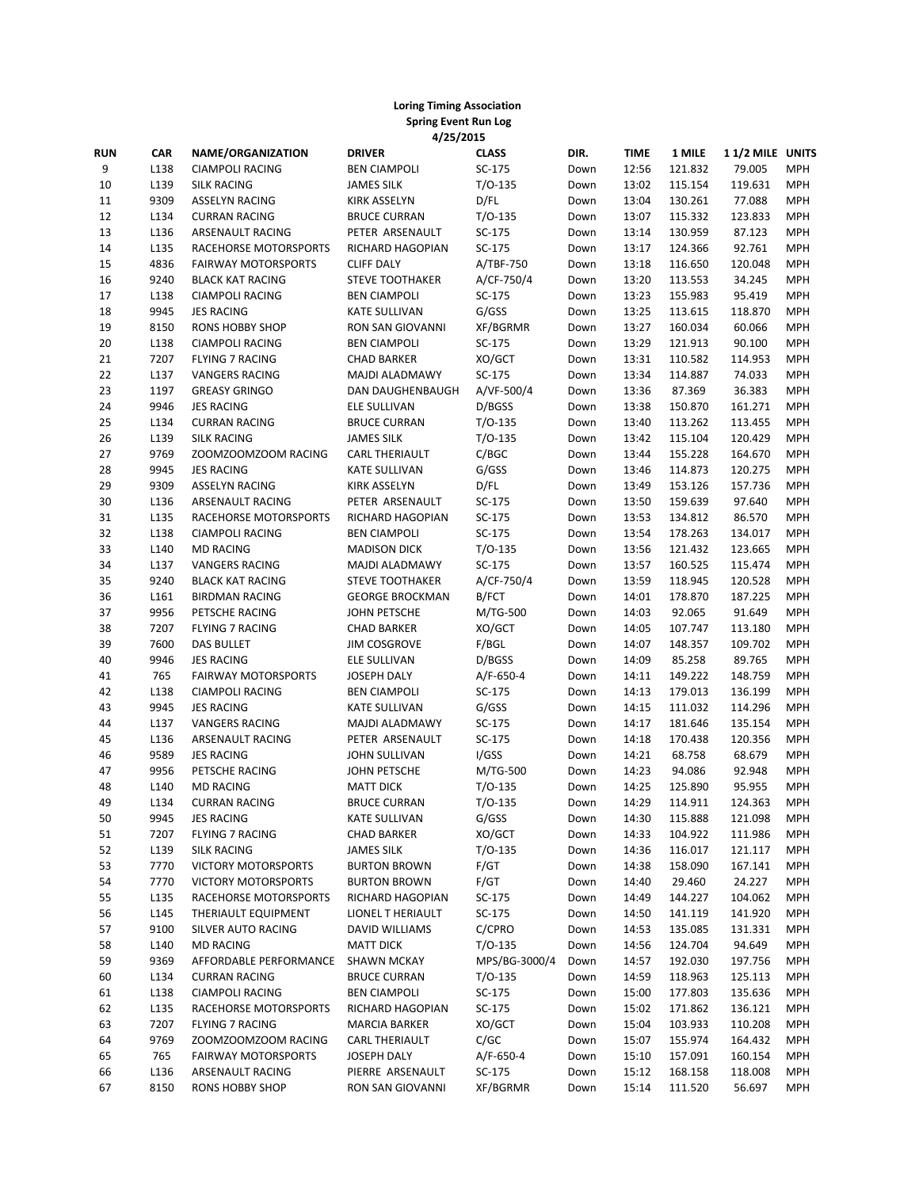| <b>Loring Timing Association</b><br><b>Spring Event Run Log</b> |                    |                                                    |                                      |                        |              |                      |                   |                 |            |
|-----------------------------------------------------------------|--------------------|----------------------------------------------------|--------------------------------------|------------------------|--------------|----------------------|-------------------|-----------------|------------|
|                                                                 |                    |                                                    | 4/25/2015                            |                        |              |                      |                   | 11/2 MILE UNITS |            |
| <b>RUN</b><br>9                                                 | <b>CAR</b><br>L138 | <b>NAME/ORGANIZATION</b><br><b>CIAMPOLI RACING</b> | <b>DRIVER</b><br><b>BEN CIAMPOLI</b> | <b>CLASS</b><br>SC-175 | DIR.         | <b>TIME</b><br>12:56 | 1 MILE<br>121.832 | 79.005          | <b>MPH</b> |
| 10                                                              | L139               | <b>SILK RACING</b>                                 | <b>JAMES SILK</b>                    | $T/O-135$              | Down<br>Down | 13:02                | 115.154           | 119.631         | <b>MPH</b> |
| 11                                                              | 9309               | <b>ASSELYN RACING</b>                              | <b>KIRK ASSELYN</b>                  | D/FL                   | Down         | 13:04                | 130.261           | 77.088          | <b>MPH</b> |
| 12                                                              | L134               | <b>CURRAN RACING</b>                               | <b>BRUCE CURRAN</b>                  | $T/O-135$              | Down         | 13:07                | 115.332           | 123.833         | <b>MPH</b> |
| 13                                                              | L136               | ARSENAULT RACING                                   | PETER ARSENAULT                      | SC-175                 | Down         | 13:14                | 130.959           | 87.123          | <b>MPH</b> |
| 14                                                              | L135               | RACEHORSE MOTORSPORTS                              | RICHARD HAGOPIAN                     | SC-175                 | Down         | 13:17                | 124.366           | 92.761          | <b>MPH</b> |
| 15                                                              | 4836               | <b>FAIRWAY MOTORSPORTS</b>                         | <b>CLIFF DALY</b>                    | A/TBF-750              | Down         | 13:18                | 116.650           | 120.048         | <b>MPH</b> |
| 16                                                              | 9240               | <b>BLACK KAT RACING</b>                            | <b>STEVE TOOTHAKER</b>               | A/CF-750/4             | Down         | 13:20                | 113.553           | 34.245          | <b>MPH</b> |
| 17                                                              | L138               | <b>CIAMPOLI RACING</b>                             | <b>BEN CIAMPOLI</b>                  | SC-175                 | Down         | 13:23                | 155.983           | 95.419          | <b>MPH</b> |
| 18                                                              | 9945               | <b>JES RACING</b>                                  | <b>KATE SULLIVAN</b>                 | G/GSS                  | Down         | 13:25                | 113.615           | 118.870         | <b>MPH</b> |
| 19                                                              | 8150               | RONS HOBBY SHOP                                    | RON SAN GIOVANNI                     | XF/BGRMR               | Down         | 13:27                | 160.034           | 60.066          | <b>MPH</b> |
| 20                                                              | L138               | <b>CIAMPOLI RACING</b>                             | BEN CIAMPOLI                         | SC-175                 | Down         | 13:29                | 121.913           | 90.100          | <b>MPH</b> |
| 21                                                              | 7207               | <b>FLYING 7 RACING</b>                             | <b>CHAD BARKER</b>                   | XO/GCT                 | Down         | 13:31                | 110.582           | 114.953         | <b>MPH</b> |
| 22                                                              | L137               | <b>VANGERS RACING</b>                              | MAJDI ALADMAWY                       | SC-175                 | Down         | 13:34                | 114.887           | 74.033          | <b>MPH</b> |
| 23                                                              | 1197               | <b>GREASY GRINGO</b>                               | DAN DAUGHENBAUGH                     | A/VF-500/4             | Down         | 13:36                | 87.369            | 36.383          | <b>MPH</b> |
| 24                                                              | 9946               | <b>JES RACING</b>                                  | ELE SULLIVAN                         | D/BGSS                 | Down         | 13:38                | 150.870           | 161.271         | <b>MPH</b> |
| 25                                                              | L134               | <b>CURRAN RACING</b>                               | <b>BRUCE CURRAN</b>                  | $T/O-135$              | Down         | 13:40                | 113.262           | 113.455         | <b>MPH</b> |
| 26                                                              | L139               | <b>SILK RACING</b>                                 | <b>JAMES SILK</b>                    | $T/O-135$              | Down         | 13:42                | 115.104           | 120.429         | <b>MPH</b> |
| 27                                                              | 9769               | ZOOMZOOMZOOM RACING                                | CARL THERIAULT                       | C/BC                   | Down         | 13:44                | 155.228           | 164.670         | <b>MPH</b> |
| 28                                                              | 9945               | <b>JES RACING</b>                                  | <b>KATE SULLIVAN</b>                 | G/GSS                  | Down         | 13:46                | 114.873           | 120.275         | <b>MPH</b> |
| 29                                                              | 9309               | <b>ASSELYN RACING</b>                              | <b>KIRK ASSELYN</b>                  | D/FL                   | Down         | 13:49                | 153.126           | 157.736         | <b>MPH</b> |
| 30                                                              | L136               | ARSENAULT RACING                                   | PETER ARSENAULT                      | SC-175                 | Down         | 13:50                | 159.639           | 97.640          | <b>MPH</b> |
| 31                                                              | L135               | RACEHORSE MOTORSPORTS                              | RICHARD HAGOPIAN                     | SC-175                 | Down         | 13:53                | 134.812           | 86.570          | <b>MPH</b> |
| 32                                                              | L138               | <b>CIAMPOLI RACING</b>                             | <b>BEN CIAMPOLI</b>                  | SC-175                 | Down         | 13:54                | 178.263           | 134.017         | <b>MPH</b> |
| 33                                                              | L140               | <b>MD RACING</b>                                   | <b>MADISON DICK</b>                  | $T/O-135$              | Down         | 13:56                | 121.432           | 123.665         | <b>MPH</b> |
| 34                                                              | L137               | <b>VANGERS RACING</b>                              | MAJDI ALADMAWY                       | SC-175                 | Down         | 13:57                | 160.525           | 115.474         | <b>MPH</b> |
| 35                                                              | 9240               | <b>BLACK KAT RACING</b>                            | <b>STEVE TOOTHAKER</b>               | A/CF-750/4             | Down         | 13:59                | 118.945           | 120.528         | <b>MPH</b> |
| 36                                                              | L161               | <b>BIRDMAN RACING</b>                              | <b>GEORGE BROCKMAN</b>               | B/FCT                  | Down         | 14:01                | 178.870           | 187.225         | <b>MPH</b> |
| 37                                                              | 9956               | PETSCHE RACING                                     | JOHN PETSCHE                         | M/TG-500               | Down         | 14:03                | 92.065            | 91.649          | <b>MPH</b> |
| 38                                                              | 7207               | <b>FLYING 7 RACING</b>                             | <b>CHAD BARKER</b>                   | XO/GCT                 | Down         | 14:05                | 107.747           | 113.180         | <b>MPH</b> |
| 39                                                              | 7600               | <b>DAS BULLET</b>                                  | <b>JIM COSGROVE</b>                  | F/BGL                  | Down         | 14:07                | 148.357           | 109.702         | <b>MPH</b> |
| 40                                                              | 9946               | <b>JES RACING</b>                                  | ELE SULLIVAN                         | D/BGSS                 | Down         | 14:09                | 85.258            | 89.765          | <b>MPH</b> |
| 41                                                              | 765                | <b>FAIRWAY MOTORSPORTS</b>                         | JOSEPH DALY                          | $A/F-650-4$            | Down         | 14:11                | 149.222           | 148.759         | <b>MPH</b> |
| 42                                                              | L138               | <b>CIAMPOLI RACING</b>                             | <b>BEN CIAMPOLI</b>                  | SC-175                 | Down         | 14:13                | 179.013           | 136.199         | <b>MPH</b> |
| 43                                                              | 9945               | <b>JES RACING</b>                                  | <b>KATE SULLIVAN</b>                 | G/GSS                  | Down         | 14:15                | 111.032           | 114.296         | <b>MPH</b> |
| 44                                                              | L137               | <b>VANGERS RACING</b>                              | MAJDI ALADMAWY                       | SC-175                 | Down         | 14:17                | 181.646           | 135.154         | <b>MPH</b> |
| 45                                                              | L136               | ARSENAULT RACING                                   | PETER ARSENAULT                      | SC-175                 | Down         | 14:18                | 170.438           | 120.356         | <b>MPH</b> |
| 46                                                              | 9589               | <b>JES RACING</b>                                  | JOHN SULLIVAN                        | I/GSS                  | Down         | 14:21                | 68.758            | 68.679          | <b>MPH</b> |
| 47                                                              | 9956               | PETSCHE RACING                                     | JOHN PETSCHE                         | M/TG-500               | Down         | 14:23                | 94.086            | 92.948          | <b>MPH</b> |
| 48                                                              | L140               | <b>MD RACING</b>                                   | <b>MATT DICK</b>                     | $T/O-135$              | Down         | 14:25                | 125.890           | 95.955          | MPH        |
| 49                                                              | L134               | <b>CURRAN RACING</b>                               | <b>BRUCE CURRAN</b>                  | $T/O-135$              | Down         | 14:29                | 114.911           | 124.363         | <b>MPH</b> |
| 50                                                              | 9945               | JES RACING                                         | KATE SULLIVAN                        | G/GSS                  | Down         | 14:30                | 115.888           | 121.098         | MPH        |
| 51                                                              | 7207               | FLYING 7 RACING                                    | <b>CHAD BARKER</b>                   | XO/GCT                 | Down         | 14:33                | 104.922           | 111.986         | <b>MPH</b> |
| 52                                                              | L139               | <b>SILK RACING</b>                                 | <b>JAMES SILK</b>                    | $T/O-135$              | Down         | 14:36                | 116.017           | 121.117         | <b>MPH</b> |
| 53                                                              | 7770               | <b>VICTORY MOTORSPORTS</b>                         | <b>BURTON BROWN</b>                  | F/GT                   | Down         | 14:38                | 158.090           | 167.141         | <b>MPH</b> |
| 54                                                              | 7770               | <b>VICTORY MOTORSPORTS</b>                         | <b>BURTON BROWN</b>                  | F/GT                   | Down         | 14:40                | 29.460            | 24.227          | <b>MPH</b> |
| 55                                                              | L135               | RACEHORSE MOTORSPORTS                              | RICHARD HAGOPIAN                     | SC-175                 | Down         | 14:49                | 144.227           | 104.062         | <b>MPH</b> |
| 56                                                              | L145               | THERIAULT EQUIPMENT                                | LIONEL THERIAULT                     | SC-175                 | Down         | 14:50                | 141.119           | 141.920         | <b>MPH</b> |
| 57                                                              | 9100               | SILVER AUTO RACING                                 | <b>DAVID WILLIAMS</b>                | C/CPRO                 | Down         | 14:53                | 135.085           | 131.331         | <b>MPH</b> |
| 58                                                              | L140               | <b>MD RACING</b>                                   | <b>MATT DICK</b>                     | $T/O-135$              | Down         | 14:56                | 124.704           | 94.649          | <b>MPH</b> |
| 59                                                              | 9369               | AFFORDABLE PERFORMANCE                             | <b>SHAWN MCKAY</b>                   | MPS/BG-3000/4          | Down         | 14:57                | 192.030           | 197.756         | <b>MPH</b> |
| 60                                                              | L134               | <b>CURRAN RACING</b>                               | <b>BRUCE CURRAN</b>                  | $T/O-135$              | Down         | 14:59                | 118.963           | 125.113         | <b>MPH</b> |
| 61                                                              | L138               | <b>CIAMPOLI RACING</b>                             | <b>BEN CIAMPOLI</b>                  | SC-175                 | Down         | 15:00                | 177.803           | 135.636         | <b>MPH</b> |
| 62                                                              | L135               | RACEHORSE MOTORSPORTS                              | RICHARD HAGOPIAN                     | SC-175                 | Down         | 15:02                | 171.862           | 136.121         | <b>MPH</b> |
| 63                                                              | 7207               | <b>FLYING 7 RACING</b>                             | <b>MARCIA BARKER</b>                 | XO/GCT                 | Down         | 15:04                | 103.933           | 110.208         | <b>MPH</b> |
| 64                                                              | 9769               | ZOOMZOOMZOOM RACING                                | CARL THERIAULT                       | C/GC                   | Down         | 15:07                | 155.974           | 164.432         | <b>MPH</b> |
| 65                                                              | 765                | <b>FAIRWAY MOTORSPORTS</b>                         | JOSEPH DALY                          | A/F-650-4              | Down         | 15:10                | 157.091           | 160.154         | <b>MPH</b> |
| 66                                                              | L136               | ARSENAULT RACING                                   | PIERRE ARSENAULT                     | SC-175                 | Down         | 15:12                | 168.158           | 118.008         | <b>MPH</b> |
| 67                                                              | 8150               | RONS HOBBY SHOP                                    | RON SAN GIOVANNI                     | XF/BGRMR               | Down         | 15:14                | 111.520           | 56.697          | MPH        |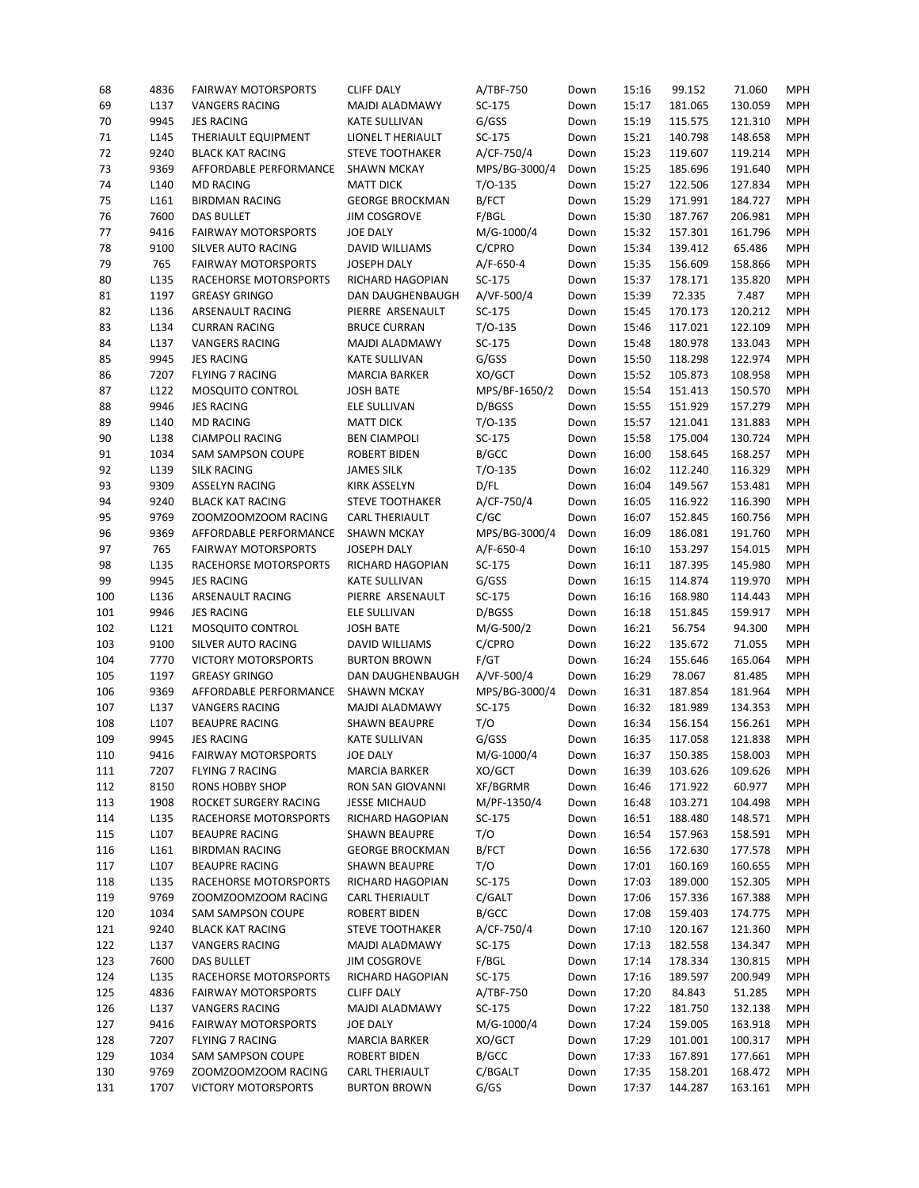| 68  | 4836             | <b>FAIRWAY MOTORSPORTS</b> | <b>CLIFF DALY</b>      | A/TBF-750     | Down | 15:16 | 99.152  | 71.060  | <b>MPH</b> |
|-----|------------------|----------------------------|------------------------|---------------|------|-------|---------|---------|------------|
| 69  | L137             | <b>VANGERS RACING</b>      | MAJDI ALADMAWY         | SC-175        | Down | 15:17 | 181.065 | 130.059 | <b>MPH</b> |
| 70  | 9945             | <b>JES RACING</b>          | KATE SULLIVAN          | G/GSS         | Down | 15:19 | 115.575 | 121.310 | <b>MPH</b> |
| 71  | L145             | THERIAULT EQUIPMENT        | LIONEL THERIAULT       | SC-175        | Down | 15:21 | 140.798 | 148.658 | <b>MPH</b> |
| 72  | 9240             | <b>BLACK KAT RACING</b>    | <b>STEVE TOOTHAKER</b> | A/CF-750/4    | Down | 15:23 | 119.607 | 119.214 | <b>MPH</b> |
| 73  | 9369             | AFFORDABLE PERFORMANCE     | <b>SHAWN MCKAY</b>     | MPS/BG-3000/4 | Down | 15:25 | 185.696 | 191.640 | <b>MPH</b> |
| 74  | L140             | <b>MD RACING</b>           | <b>MATT DICK</b>       | $T/O-135$     | Down | 15:27 | 122.506 | 127.834 | <b>MPH</b> |
| 75  | L161             | <b>BIRDMAN RACING</b>      | <b>GEORGE BROCKMAN</b> | B/FCT         | Down | 15:29 | 171.991 | 184.727 | <b>MPH</b> |
| 76  | 7600             | DAS BULLET                 | <b>JIM COSGROVE</b>    | F/BGL         | Down | 15:30 | 187.767 | 206.981 | <b>MPH</b> |
| 77  | 9416             | <b>FAIRWAY MOTORSPORTS</b> | <b>JOE DALY</b>        | M/G-1000/4    | Down | 15:32 | 157.301 | 161.796 | <b>MPH</b> |
| 78  | 9100             | SILVER AUTO RACING         | <b>DAVID WILLIAMS</b>  | C/CPRO        | Down | 15:34 | 139.412 | 65.486  | <b>MPH</b> |
| 79  | 765              | <b>FAIRWAY MOTORSPORTS</b> | JOSEPH DALY            | $A/F-650-4$   | Down | 15:35 | 156.609 | 158.866 | <b>MPH</b> |
| 80  | L135             | RACEHORSE MOTORSPORTS      | RICHARD HAGOPIAN       | SC-175        | Down | 15:37 | 178.171 | 135.820 | <b>MPH</b> |
| 81  | 1197             | <b>GREASY GRINGO</b>       | DAN DAUGHENBAUGH       | A/VF-500/4    | Down | 15:39 | 72.335  | 7.487   | <b>MPH</b> |
| 82  | L136             | ARSENAULT RACING           | PIERRE ARSENAULT       | SC-175        | Down | 15:45 | 170.173 | 120.212 | <b>MPH</b> |
| 83  | L134             | <b>CURRAN RACING</b>       | <b>BRUCE CURRAN</b>    | $T/O-135$     |      | 15:46 | 117.021 | 122.109 | <b>MPH</b> |
|     |                  |                            |                        | SC-175        | Down |       | 180.978 | 133.043 | <b>MPH</b> |
| 84  | L137             | <b>VANGERS RACING</b>      | MAJDI ALADMAWY         |               | Down | 15:48 |         |         | <b>MPH</b> |
| 85  | 9945             | <b>JES RACING</b>          | <b>KATE SULLIVAN</b>   | G/GSS         | Down | 15:50 | 118.298 | 122.974 |            |
| 86  | 7207             | <b>FLYING 7 RACING</b>     | <b>MARCIA BARKER</b>   | XO/GCT        | Down | 15:52 | 105.873 | 108.958 | <b>MPH</b> |
| 87  | L122             | MOSQUITO CONTROL           | <b>JOSH BATE</b>       | MPS/BF-1650/2 | Down | 15:54 | 151.413 | 150.570 | <b>MPH</b> |
| 88  | 9946             | <b>JES RACING</b>          | ELE SULLIVAN           | D/BGSS        | Down | 15:55 | 151.929 | 157.279 | <b>MPH</b> |
| 89  | L140             | <b>MD RACING</b>           | <b>MATT DICK</b>       | $T/O-135$     | Down | 15:57 | 121.041 | 131.883 | <b>MPH</b> |
| 90  | L138             | <b>CIAMPOLI RACING</b>     | <b>BEN CIAMPOLI</b>    | SC-175        | Down | 15:58 | 175.004 | 130.724 | <b>MPH</b> |
| 91  | 1034             | <b>SAM SAMPSON COUPE</b>   | <b>ROBERT BIDEN</b>    | B/GCC         | Down | 16:00 | 158.645 | 168.257 | <b>MPH</b> |
| 92  | L139             | <b>SILK RACING</b>         | <b>JAMES SILK</b>      | $T/O-135$     | Down | 16:02 | 112.240 | 116.329 | <b>MPH</b> |
| 93  | 9309             | <b>ASSELYN RACING</b>      | KIRK ASSELYN           | D/FL          | Down | 16:04 | 149.567 | 153.481 | <b>MPH</b> |
| 94  | 9240             | <b>BLACK KAT RACING</b>    | <b>STEVE TOOTHAKER</b> | A/CF-750/4    | Down | 16:05 | 116.922 | 116.390 | <b>MPH</b> |
| 95  | 9769             | ZOOMZOOMZOOM RACING        | <b>CARL THERIAULT</b>  | C/GC          | Down | 16:07 | 152.845 | 160.756 | <b>MPH</b> |
| 96  | 9369             | AFFORDABLE PERFORMANCE     | <b>SHAWN MCKAY</b>     | MPS/BG-3000/4 | Down | 16:09 | 186.081 | 191.760 | <b>MPH</b> |
| 97  | 765              | <b>FAIRWAY MOTORSPORTS</b> | JOSEPH DALY            | $A/F-650-4$   | Down | 16:10 | 153.297 | 154.015 | <b>MPH</b> |
| 98  | L135             | RACEHORSE MOTORSPORTS      | RICHARD HAGOPIAN       | SC-175        | Down | 16:11 | 187.395 | 145.980 | <b>MPH</b> |
| 99  | 9945             | <b>JES RACING</b>          | KATE SULLIVAN          | G/GSS         | Down | 16:15 | 114.874 | 119.970 | <b>MPH</b> |
| 100 | L136             | ARSENAULT RACING           | PIERRE ARSENAULT       | SC-175        | Down | 16:16 | 168.980 | 114.443 | <b>MPH</b> |
| 101 | 9946             | <b>JES RACING</b>          | ELE SULLIVAN           | D/BGSS        | Down | 16:18 | 151.845 | 159.917 | <b>MPH</b> |
| 102 | L121             | MOSQUITO CONTROL           | <b>JOSH BATE</b>       | M/G-500/2     | Down | 16:21 | 56.754  | 94.300  | <b>MPH</b> |
| 103 | 9100             | SILVER AUTO RACING         | DAVID WILLIAMS         | C/CPRO        | Down | 16:22 | 135.672 | 71.055  | <b>MPH</b> |
| 104 | 7770             | <b>VICTORY MOTORSPORTS</b> | <b>BURTON BROWN</b>    | F/GT          | Down | 16:24 | 155.646 | 165.064 | <b>MPH</b> |
| 105 | 1197             | <b>GREASY GRINGO</b>       | DAN DAUGHENBAUGH       | A/VF-500/4    | Down | 16:29 | 78.067  | 81.485  | <b>MPH</b> |
| 106 | 9369             | AFFORDABLE PERFORMANCE     | <b>SHAWN MCKAY</b>     | MPS/BG-3000/4 | Down | 16:31 | 187.854 | 181.964 | <b>MPH</b> |
| 107 | L137             | <b>VANGERS RACING</b>      | MAJDI ALADMAWY         | SC-175        | Down | 16:32 | 181.989 | 134.353 | <b>MPH</b> |
| 108 | L107             | <b>BEAUPRE RACING</b>      | <b>SHAWN BEAUPRE</b>   | T/O           | Down | 16:34 | 156.154 | 156.261 | <b>MPH</b> |
| 109 | 9945             | <b>JES RACING</b>          | KATE SULLIVAN          | G/GSS         | Down | 16:35 | 117.058 | 121.838 | <b>MPH</b> |
| 110 | 9416             | <b>FAIRWAY MOTORSPORTS</b> | JOE DALY               | M/G-1000/4    | Down | 16:37 | 150.385 | 158.003 | <b>MPH</b> |
| 111 | 7207             | <b>FLYING 7 RACING</b>     | <b>MARCIA BARKER</b>   | XO/GCT        | Down | 16:39 | 103.626 | 109.626 | <b>MPH</b> |
| 112 | 8150             | RONS HOBBY SHOP            | RON SAN GIOVANNI       | XF/BGRMR      | Down | 16:46 | 171.922 | 60.977  | <b>MPH</b> |
| 113 | 1908             | ROCKET SURGERY RACING      | <b>JESSE MICHAUD</b>   | M/PF-1350/4   | Down | 16:48 | 103.271 | 104.498 | <b>MPH</b> |
|     | L135             | RACEHORSE MOTORSPORTS      |                        | SC-175        |      |       | 188.480 | 148.571 | <b>MPH</b> |
| 114 |                  |                            | RICHARD HAGOPIAN       |               | Down | 16:51 |         |         |            |
| 115 | L <sub>107</sub> | <b>BEAUPRE RACING</b>      | <b>SHAWN BEAUPRE</b>   | T/O           | Down | 16:54 | 157.963 | 158.591 | <b>MPH</b> |
| 116 | L161             | <b>BIRDMAN RACING</b>      | <b>GEORGE BROCKMAN</b> | B/FCT         | Down | 16:56 | 172.630 | 177.578 | <b>MPH</b> |
| 117 | L <sub>107</sub> | <b>BEAUPRE RACING</b>      | <b>SHAWN BEAUPRE</b>   | T/O           | Down | 17:01 | 160.169 | 160.655 | <b>MPH</b> |
| 118 | L135             | RACEHORSE MOTORSPORTS      | RICHARD HAGOPIAN       | SC-175        | Down | 17:03 | 189.000 | 152.305 | <b>MPH</b> |
| 119 | 9769             | ZOOMZOOMZOOM RACING        | CARL THERIAULT         | C/GALT        | Down | 17:06 | 157.336 | 167.388 | <b>MPH</b> |
| 120 | 1034             | <b>SAM SAMPSON COUPE</b>   | <b>ROBERT BIDEN</b>    | B/GCC         | Down | 17:08 | 159.403 | 174.775 | <b>MPH</b> |
| 121 | 9240             | <b>BLACK KAT RACING</b>    | <b>STEVE TOOTHAKER</b> | A/CF-750/4    | Down | 17:10 | 120.167 | 121.360 | <b>MPH</b> |
| 122 | L137             | <b>VANGERS RACING</b>      | MAJDI ALADMAWY         | SC-175        | Down | 17:13 | 182.558 | 134.347 | <b>MPH</b> |
| 123 | 7600             | DAS BULLET                 | <b>JIM COSGROVE</b>    | F/BGL         | Down | 17:14 | 178.334 | 130.815 | <b>MPH</b> |
| 124 | L135             | RACEHORSE MOTORSPORTS      | RICHARD HAGOPIAN       | SC-175        | Down | 17:16 | 189.597 | 200.949 | <b>MPH</b> |
| 125 | 4836             | <b>FAIRWAY MOTORSPORTS</b> | <b>CLIFF DALY</b>      | A/TBF-750     | Down | 17:20 | 84.843  | 51.285  | <b>MPH</b> |
| 126 | L137             | <b>VANGERS RACING</b>      | MAJDI ALADMAWY         | SC-175        | Down | 17:22 | 181.750 | 132.138 | <b>MPH</b> |
| 127 | 9416             | <b>FAIRWAY MOTORSPORTS</b> | JOE DALY               | M/G-1000/4    | Down | 17:24 | 159.005 | 163.918 | <b>MPH</b> |
| 128 | 7207             | <b>FLYING 7 RACING</b>     | MARCIA BARKER          | XO/GCT        | Down | 17:29 | 101.001 | 100.317 | <b>MPH</b> |
| 129 | 1034             | <b>SAM SAMPSON COUPE</b>   | ROBERT BIDEN           | B/GCC         | Down | 17:33 | 167.891 | 177.661 | <b>MPH</b> |
| 130 | 9769             | ZOOMZOOMZOOM RACING        | CARL THERIAULT         | C/BGALT       | Down | 17:35 | 158.201 | 168.472 | <b>MPH</b> |
| 131 | 1707             | <b>VICTORY MOTORSPORTS</b> | BURTON BROWN           | G/GS          | Down | 17:37 | 144.287 | 163.161 | <b>MPH</b> |
|     |                  |                            |                        |               |      |       |         |         |            |